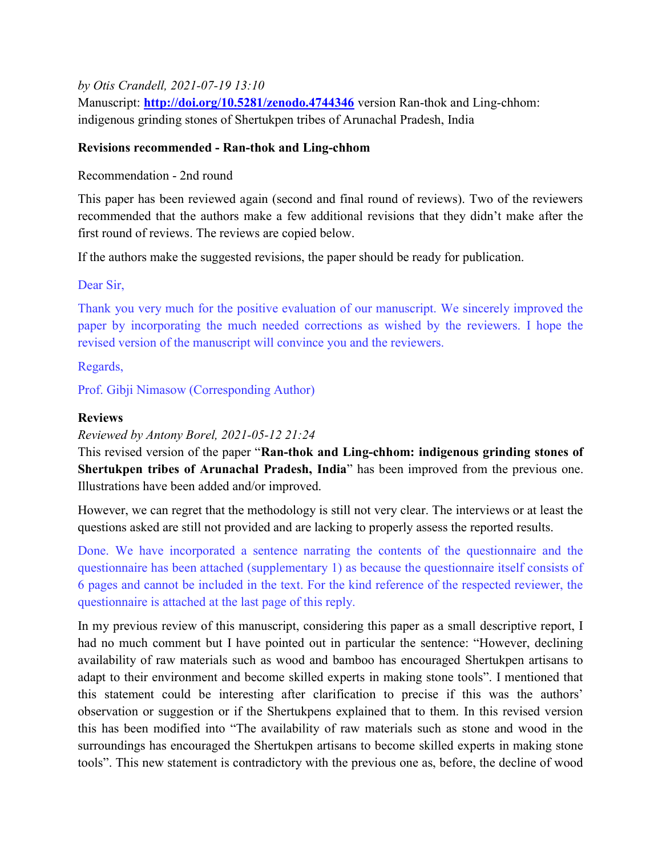### by Otis Crandell, 2021-07-19 13:10

Manuscript: http://doi.org/10.5281/zenodo.4744346 version Ran-thok and Ling-chhom: indigenous grinding stones of Shertukpen tribes of Arunachal Pradesh, India

### Revisions recommended - Ran-thok and Ling-chhom

Recommendation - 2nd round

This paper has been reviewed again (second and final round of reviews). Two of the reviewers recommended that the authors make a few additional revisions that they didn't make after the first round of reviews. The reviews are copied below.

If the authors make the suggested revisions, the paper should be ready for publication.

Dear Sir,

Thank you very much for the positive evaluation of our manuscript. We sincerely improved the paper by incorporating the much needed corrections as wished by the reviewers. I hope the revised version of the manuscript will convince you and the reviewers.

Regards,

Prof. Gibji Nimasow (Corresponding Author)

### **Reviews**

Reviewed by Antony Borel, 2021-05-12 21:24

This revised version of the paper "Ran-thok and Ling-chhom: indigenous grinding stones of Shertukpen tribes of Arunachal Pradesh, India" has been improved from the previous one. Illustrations have been added and/or improved.

However, we can regret that the methodology is still not very clear. The interviews or at least the questions asked are still not provided and are lacking to properly assess the reported results.

Done. We have incorporated a sentence narrating the contents of the questionnaire and the questionnaire has been attached (supplementary 1) as because the questionnaire itself consists of 6 pages and cannot be included in the text. For the kind reference of the respected reviewer, the questionnaire is attached at the last page of this reply.

In my previous review of this manuscript, considering this paper as a small descriptive report, I had no much comment but I have pointed out in particular the sentence: "However, declining availability of raw materials such as wood and bamboo has encouraged Shertukpen artisans to adapt to their environment and become skilled experts in making stone tools". I mentioned that this statement could be interesting after clarification to precise if this was the authors' observation or suggestion or if the Shertukpens explained that to them. In this revised version this has been modified into "The availability of raw materials such as stone and wood in the surroundings has encouraged the Shertukpen artisans to become skilled experts in making stone tools". This new statement is contradictory with the previous one as, before, the decline of wood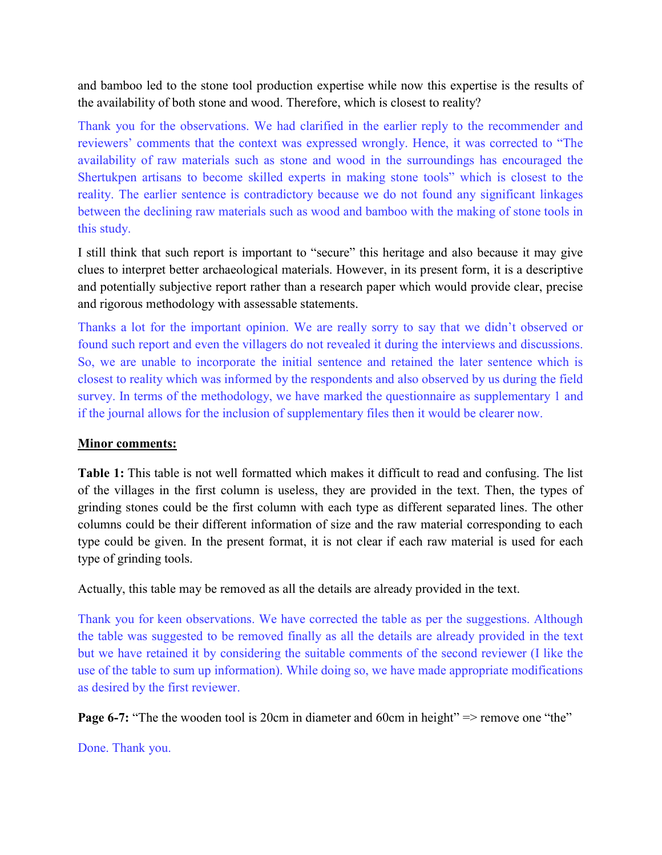and bamboo led to the stone tool production expertise while now this expertise is the results of the availability of both stone and wood. Therefore, which is closest to reality?

Thank you for the observations. We had clarified in the earlier reply to the recommender and reviewers' comments that the context was expressed wrongly. Hence, it was corrected to "The availability of raw materials such as stone and wood in the surroundings has encouraged the Shertukpen artisans to become skilled experts in making stone tools" which is closest to the reality. The earlier sentence is contradictory because we do not found any significant linkages between the declining raw materials such as wood and bamboo with the making of stone tools in this study.

I still think that such report is important to "secure" this heritage and also because it may give clues to interpret better archaeological materials. However, in its present form, it is a descriptive and potentially subjective report rather than a research paper which would provide clear, precise and rigorous methodology with assessable statements.

Thanks a lot for the important opinion. We are really sorry to say that we didn't observed or found such report and even the villagers do not revealed it during the interviews and discussions. So, we are unable to incorporate the initial sentence and retained the later sentence which is closest to reality which was informed by the respondents and also observed by us during the field survey. In terms of the methodology, we have marked the questionnaire as supplementary 1 and if the journal allows for the inclusion of supplementary files then it would be clearer now.

### Minor comments:

Table 1: This table is not well formatted which makes it difficult to read and confusing. The list of the villages in the first column is useless, they are provided in the text. Then, the types of grinding stones could be the first column with each type as different separated lines. The other columns could be their different information of size and the raw material corresponding to each type could be given. In the present format, it is not clear if each raw material is used for each type of grinding tools.

Actually, this table may be removed as all the details are already provided in the text.

Thank you for keen observations. We have corrected the table as per the suggestions. Although the table was suggested to be removed finally as all the details are already provided in the text but we have retained it by considering the suitable comments of the second reviewer (I like the use of the table to sum up information). While doing so, we have made appropriate modifications as desired by the first reviewer.

Page 6-7: "The the wooden tool is 20cm in diameter and 60cm in height" => remove one "the"

Done. Thank you.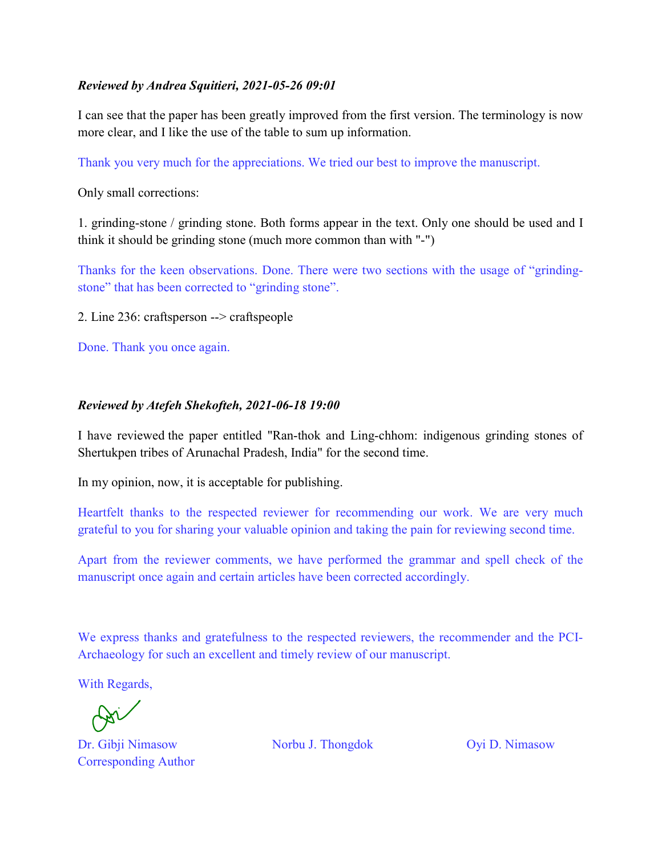### Reviewed by Andrea Squitieri, 2021-05-26 09:01

I can see that the paper has been greatly improved from the first version. The terminology is now more clear, and I like the use of the table to sum up information.

Thank you very much for the appreciations. We tried our best to improve the manuscript.

Only small corrections:

1. grinding-stone / grinding stone. Both forms appear in the text. Only one should be used and I think it should be grinding stone (much more common than with "-")

Thanks for the keen observations. Done. There were two sections with the usage of "grindingstone" that has been corrected to "grinding stone".

2. Line 236: craftsperson --> craftspeople

Done. Thank you once again.

#### Reviewed by Atefeh Shekofteh, 2021-06-18 19:00

I have reviewed the paper entitled "Ran-thok and Ling-chhom: indigenous grinding stones of Shertukpen tribes of Arunachal Pradesh, India" for the second time.

In my opinion, now, it is acceptable for publishing.

Heartfelt thanks to the respected reviewer for recommending our work. We are very much grateful to you for sharing your valuable opinion and taking the pain for reviewing second time.

Apart from the reviewer comments, we have performed the grammar and spell check of the manuscript once again and certain articles have been corrected accordingly.

We express thanks and gratefulness to the respected reviewers, the recommender and the PCI-Archaeology for such an excellent and timely review of our manuscript.

With Regards,

Dr. Gibji Nimasow Norbu J. Thongdok Oyi D. Nimasow Corresponding Author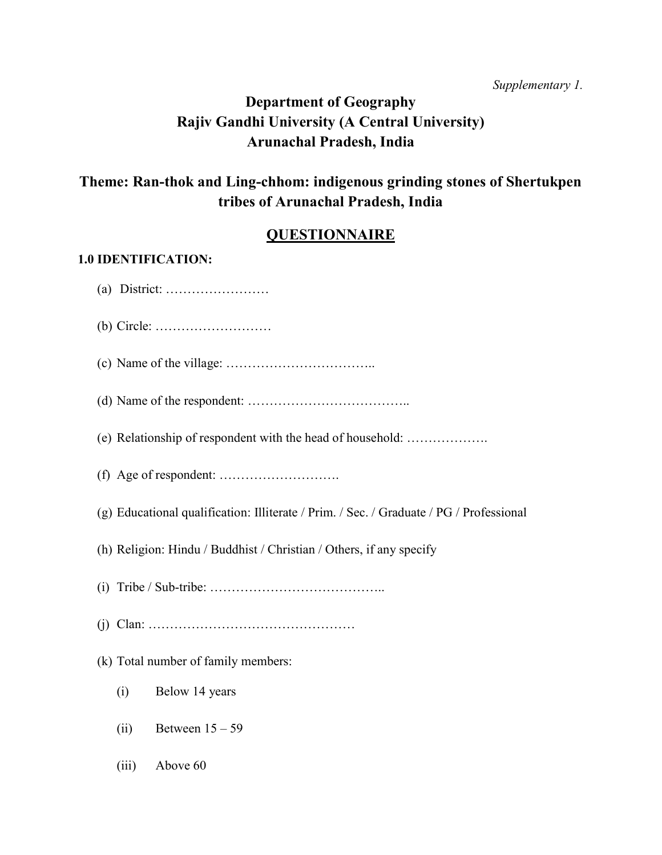Supplementary 1.

# Department of Geography Rajiv Gandhi University (A Central University) Arunachal Pradesh, India

# Theme: Ran-thok and Ling-chhom: indigenous grinding stones of Shertukpen tribes of Arunachal Pradesh, India

# **QUESTIONNAIRE**

### 1.0 IDENTIFICATION:

(a) District: …………………… (b) Circle: ……………………… (c) Name of the village: …………………………….. (d) Name of the respondent: ……………………………….. (e) Relationship of respondent with the head of household: ………………. (f) Age of respondent: ………………………. (g) Educational qualification: Illiterate / Prim. / Sec. / Graduate / PG / Professional (h) Religion: Hindu / Buddhist / Christian / Others, if any specify (i) Tribe / Sub-tribe: ………………………………….. (j) Clan: ………………………………………… (k) Total number of family members: (i) Below 14 years (ii) Between  $15 - 59$ (iii) Above 60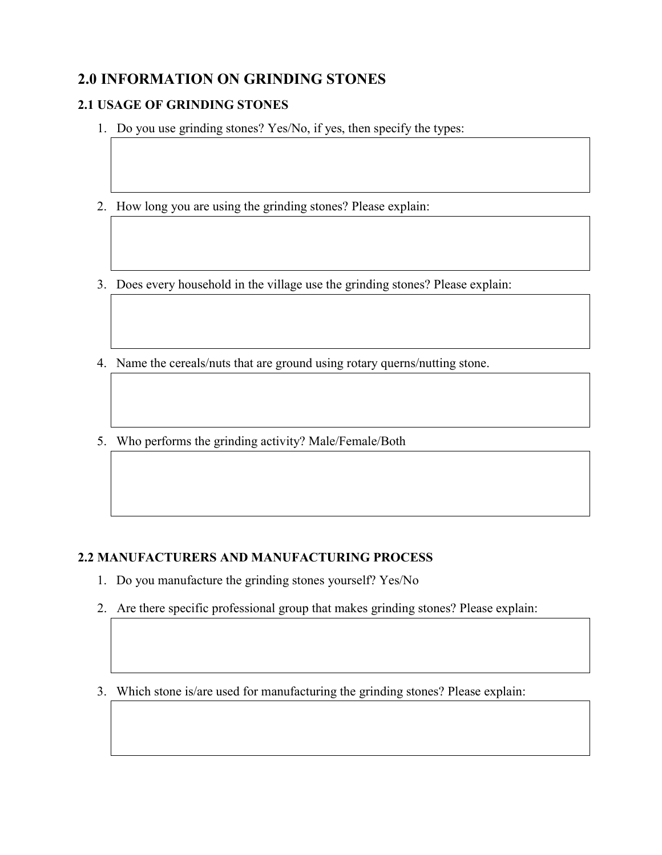# 2.0 INFORMATION ON GRINDING STONES

# 2.1 USAGE OF GRINDING STONES

- 1. Do you use grinding stones? Yes/No, if yes, then specify the types:
- 2. How long you are using the grinding stones? Please explain:
- 3. Does every household in the village use the grinding stones? Please explain:
- 4. Name the cereals/nuts that are ground using rotary querns/nutting stone.
- 5. Who performs the grinding activity? Male/Female/Both

## 2.2 MANUFACTURERS AND MANUFACTURING PROCESS

- 1. Do you manufacture the grinding stones yourself? Yes/No
- 2. Are there specific professional group that makes grinding stones? Please explain:

3. Which stone is/are used for manufacturing the grinding stones? Please explain: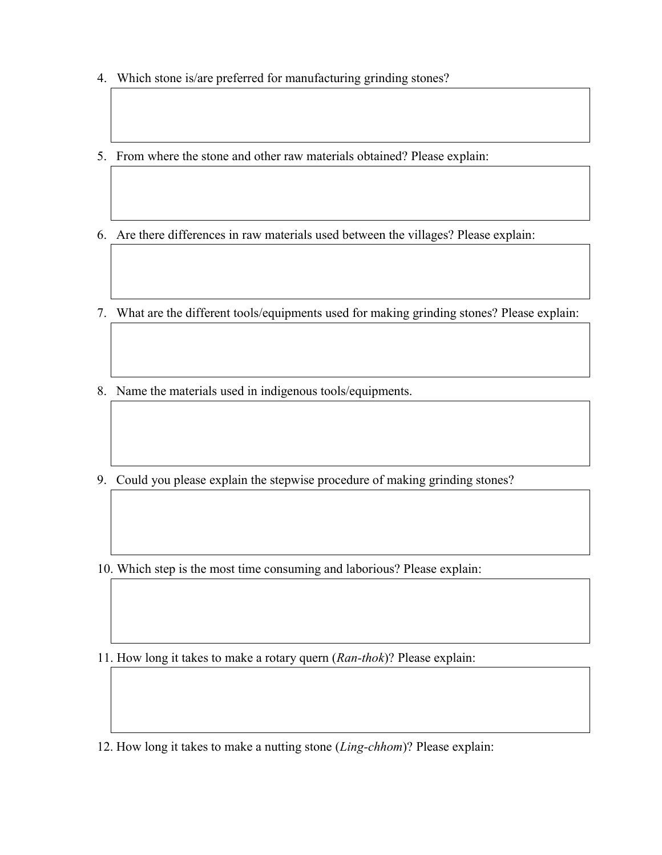- 4. Which stone is/are preferred for manufacturing grinding stones?
- 5. From where the stone and other raw materials obtained? Please explain:
- 6. Are there differences in raw materials used between the villages? Please explain:
- 7. What are the different tools/equipments used for making grinding stones? Please explain:
- 8. Name the materials used in indigenous tools/equipments.
- 9. Could you please explain the stepwise procedure of making grinding stones?

10. Which step is the most time consuming and laborious? Please explain:

11. How long it takes to make a rotary quern (Ran-thok)? Please explain:

12. How long it takes to make a nutting stone (Ling-chhom)? Please explain: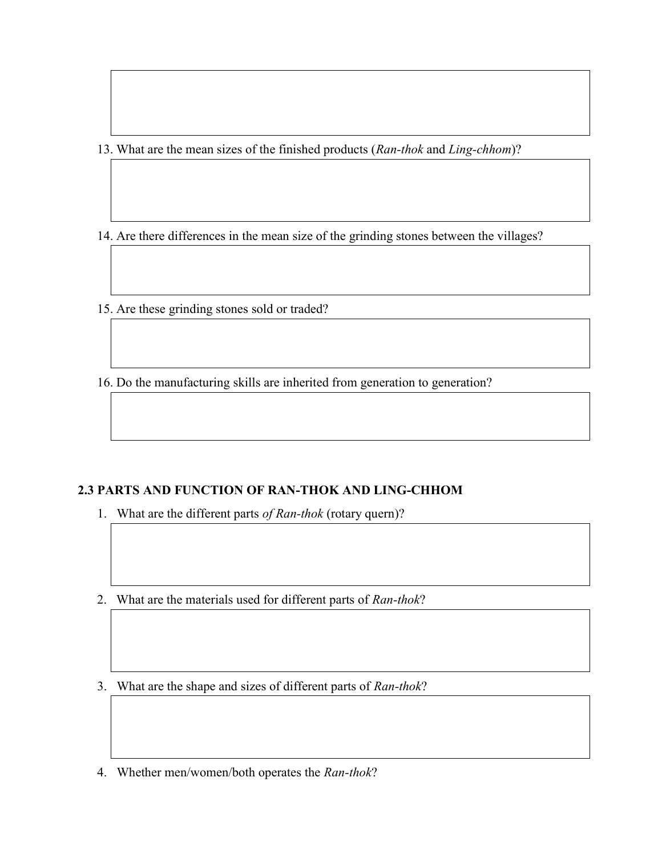13. What are the mean sizes of the finished products (Ran-thok and Ling-chhom)?

14. Are there differences in the mean size of the grinding stones between the villages?

15. Are these grinding stones sold or traded?

16. Do the manufacturing skills are inherited from generation to generation?

## 2.3 PARTS AND FUNCTION OF RAN-THOK AND LING-CHHOM

1. What are the different parts of Ran-thok (rotary quern)?

- 2. What are the materials used for different parts of Ran-thok?
- 3. What are the shape and sizes of different parts of Ran-thok?
- 4. Whether men/women/both operates the Ran-thok?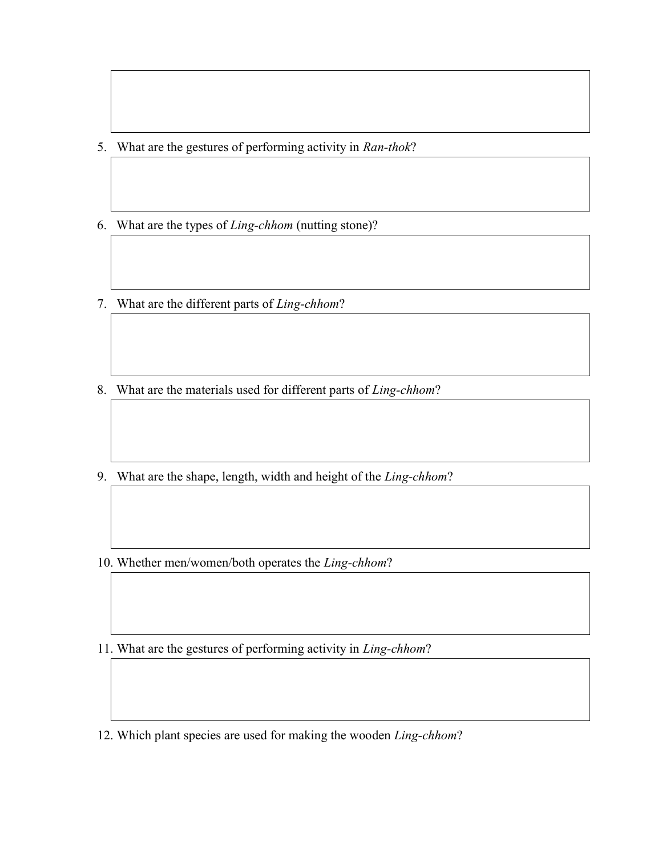- 5. What are the gestures of performing activity in Ran-thok?
- 6. What are the types of Ling-chhom (nutting stone)?
- 7. What are the different parts of Ling-chhom?
- 8. What are the materials used for different parts of Ling-chhom?
- 9. What are the shape, length, width and height of the Ling-chhom?
- 10. Whether men/women/both operates the Ling-chhom?
- 11. What are the gestures of performing activity in Ling-chhom?
- 12. Which plant species are used for making the wooden Ling-chhom?